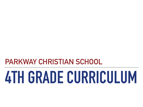# **PARKWAY CHRISTIAN SCHOOL**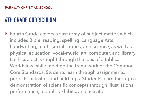‣ Fourth Grade covers a vast array of subject matter, which includes Bible, reading, spelling, Language Arts, handwriting, math, social studies, and science, as well as physical education, vocal-music, art, computer, and library. Each subject is taught through the lens of a Biblical Worldview while meeting the framework of the Common Core Standards. Students learn through assignments, projects, activities and field trips. Students learn through a demonstration of scientific concepts through illustrations, performance, models, exhibits, and activities.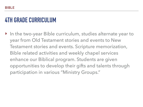‣ In the two-year Bible curriculum, studies alternate year to year from Old Testament stories and events to New Testament stories and events. Scripture memorization, Bible related activities and weekly chapel services enhance our Biblical program. Students are given opportunities to develop their gifts and talents through participation in various "Ministry Groups."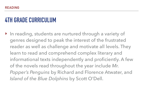‣ In reading, students are nurtured through a variety of genres designed to peak the interest of the frustrated reader as well as challenge and motivate all levels. They learn to read and comprehend complex literary and informational texts independently and proficiently. A few of the novels read throughout the year include *Mr. Popper's Penguins* by Richard and Florence Atwater, and *Island of the Blue Dolphins* by Scott O'Dell.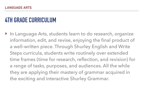‣ In Language Arts, students learn to do research, organize information, edit, and revise, enjoying the final product of a well-written piece. Through Shurley English and Write Steps curricula, students write routinely over extended time frames (time for research, reflection, and revision) for a range of tasks, purposes, and audiences. All the while they are applying their mastery of grammar acquired in the exciting and interactive Shurley Grammar.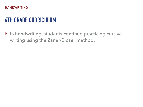‣ In handwriting, students continue practicing cursive writing using the Zaner-Bloser method.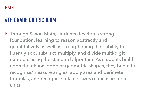‣ Through Saxon Math, students develop a strong foundation, learning to reason abstractly and quantitatively as well as strengthening their ability to fluently add, subtract, multiply, and divide multi-digit numbers using the standard algorithm. As students build upon their knowledge of geometric shapes, they begin to recognize/measure angles, apply area and perimeter formulas, and recognize relative sizes of measurement units.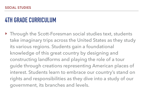‣ Through the Scott-Foresman social studies text, students take imaginary trips across the United States as they study its various regions. Students gain a foundational knowledge of this great country by designing and constructing landforms and playing the role of a tour guide through creations representing American places of interest. Students learn to embrace our country's stand on rights and responsibilities as they dive into a study of our government, its branches and levels.